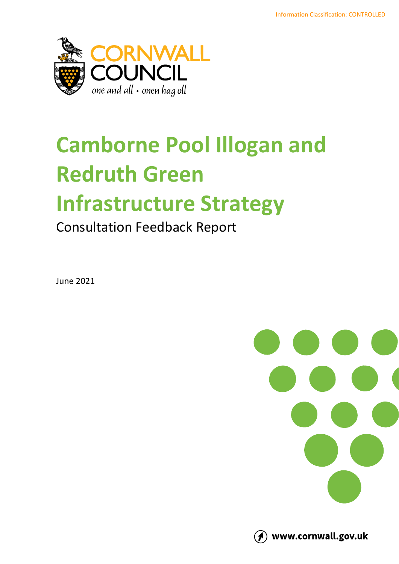

# **Camborne Pool Illogan and Redruth Green**

# **Infrastructure Strategy**

#### Consultation Feedback Report

June 2021





(1) www.cornwall.gov.uk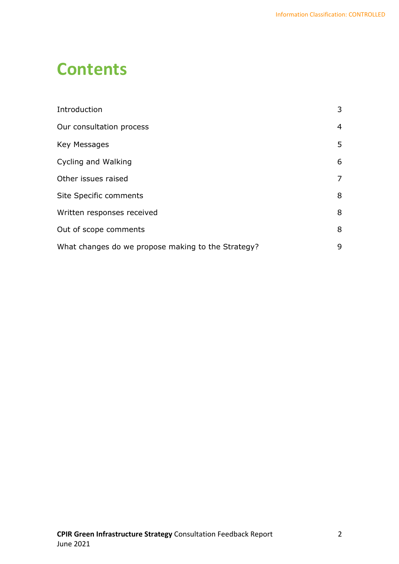### **Contents**

| Introduction                                       | 3 |
|----------------------------------------------------|---|
| Our consultation process                           | 4 |
| Key Messages                                       | 5 |
| Cycling and Walking                                | 6 |
| Other issues raised                                | 7 |
| Site Specific comments                             | 8 |
| Written responses received                         | 8 |
| Out of scope comments                              | 8 |
| What changes do we propose making to the Strategy? | 9 |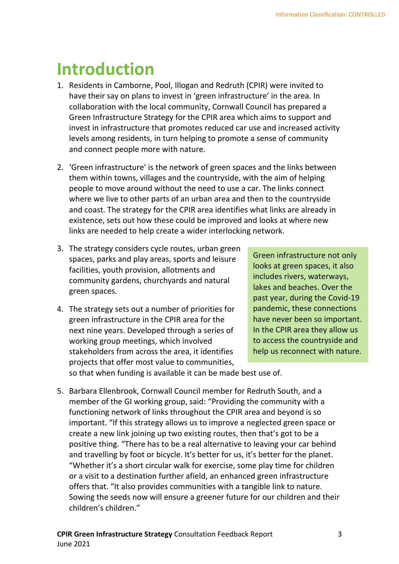### <span id="page-2-0"></span>**Introduction**

- 1. Residents in Camborne, Pool, Illogan and Redruth (CPIR) were invited to have their say on plans to invest in 'green infrastructure' in the area. In collaboration with the local community, Cornwall Council has prepared a Green Infrastructure Strategy for the CPIR area which aims to support and invest in infrastructure that promotes reduced car use and increased activity levels among residents, in turn helping to promote a sense of community and connect people more with nature.
- 2. 'Green infrastructure' is the network of green spaces and the links between them within towns, villages and the countryside, with the aim of helping people to move around without the need to use a car. The links connect where we live to other parts of an urban area and then to the countryside and coast. The strategy for the CPIR area identifies what links are already in existence, sets out how these could be improved and looks at where new links are needed to help create a wider interlocking network.
- 3. The strategy considers cycle routes, urban green spaces, parks and play areas, sports and leisure facilities, youth provision, allotments and community gardens, churchyards and natural green spaces.
- 4. The strategy sets out a number of priorities for green infrastructure in the CPIR area for the next nine years. Developed through a series of working group meetings, which involved stakeholders from across the area, it identifies projects that offer most value to communities,

Green infrastructure not only looks at green spaces, it also includes rivers, waterways, lakes and beaches. Over the past year, during the Covid-19 pandemic, these connections have never been so important. In the CPIR area they allow us to access the countryside and help us reconnect with nature.

so that when funding is available it can be made best use of.

5. Barbara Ellenbrook, Cornwall Council member for Redruth South, and a member of the GI working group, said: "Providing the community with a functioning network of links throughout the CPIR area and beyond is so important. "If this strategy allows us to improve a neglected green space or create a new link joining up two existing routes, then that's got to be a positive thing. "There has to be a real alternative to leaving your car behind and travelling by foot or bicycle. It's better for us, it's better for the planet. "Whether it's a short circular walk for exercise, some play time for children or a visit to a destination further afield, an enhanced green infrastructure offers that. "It also provides communities with a tangible link to nature. Sowing the seeds now will ensure a greener future for our children and their children's children."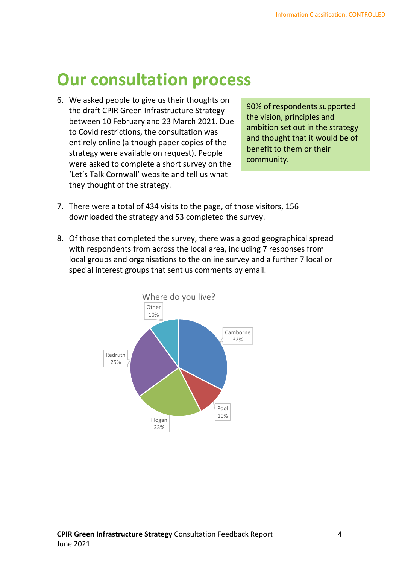### <span id="page-3-0"></span>**Our consultation process**

6. We asked people to give us their thoughts on the draft CPIR Green Infrastructure Strategy between 10 February and 23 March 2021. Due to Covid restrictions, the consultation was entirely online (although paper copies of the strategy were available on request). People were asked to complete a short survey on the 'Let's Talk Cornwall' website and tell us what they thought of the strategy.

90% of respondents supported the vision, principles and ambition set out in the strategy and thought that it would be of benefit to them or their community.

- 7. There were a total of 434 visits to the page, of those visitors, 156 downloaded the strategy and 53 completed the survey.
- 8. Of those that completed the survey, there was a good geographical spread with respondents from across the local area, including 7 responses from local groups and organisations to the online survey and a further 7 local or special interest groups that sent us comments by email.

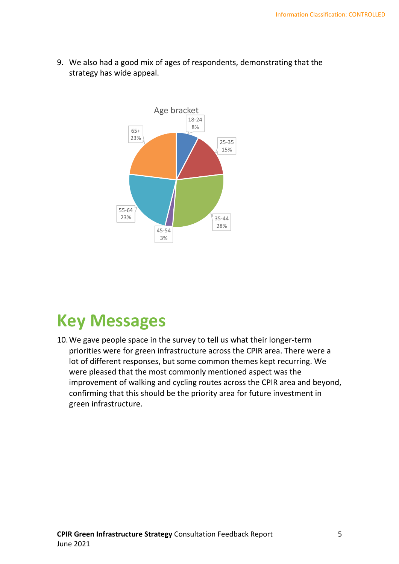

9. We also had a good mix of ages of respondents, demonstrating that the strategy has wide appeal.

### <span id="page-4-0"></span>**Key Messages**

10.We gave people space in the survey to tell us what their longer-term priorities were for green infrastructure across the CPIR area. There were a lot of different responses, but some common themes kept recurring. We were pleased that the most commonly mentioned aspect was the improvement of walking and cycling routes across the CPIR area and beyond, confirming that this should be the priority area for future investment in green infrastructure.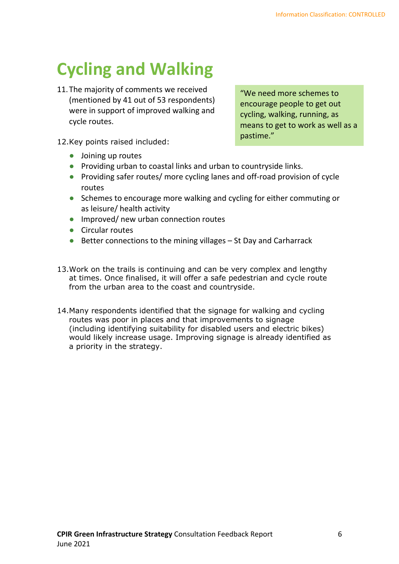## <span id="page-5-0"></span>**Cycling and Walking**

11.The majority of comments we received (mentioned by 41 out of 53 respondents) were in support of improved walking and cycle routes.

"We need more schemes to encourage people to get out cycling, walking, running, as means to get to work as well as a pastime."

- 12.Key points raised included:
	- **•** Joining up routes
	- **•** Providing urban to coastal links and urban to countryside links.
	- **•** Providing safer routes/ more cycling lanes and off-road provision of cycle routes
	- **•** Schemes to encourage more walking and cycling for either commuting or as leisure/ health activity
	- **•** Improved/ new urban connection routes
	- **•** Circular routes
	- **•** Better connections to the mining villages St Day and Carharrack
- 13.Work on the trails is continuing and can be very complex and lengthy at times. Once finalised, it will offer a safe pedestrian and cycle route from the urban area to the coast and countryside.
- 14.Many respondents identified that the signage for walking and cycling routes was poor in places and that improvements to signage (including identifying suitability for disabled users and electric bikes) would likely increase usage. Improving signage is already identified as a priority in the strategy.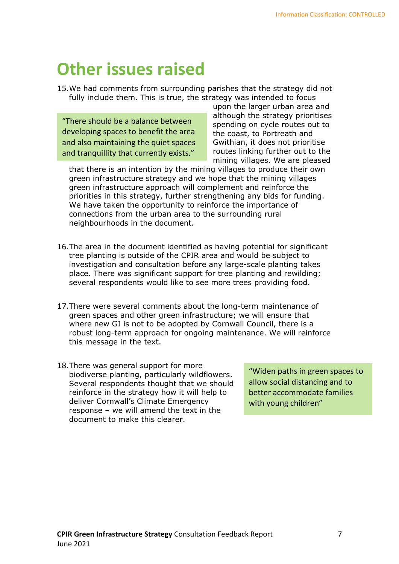### <span id="page-6-0"></span>**Other issues raised**

15.We had comments from surrounding parishes that the strategy did not fully include them. This is true, the strategy was intended to focus

"There should be a balance between developing spaces to benefit the area and also maintaining the quiet spaces and tranquillity that currently exists."

upon the larger urban area and although the strategy prioritises spending on cycle routes out to the coast, to Portreath and Gwithian, it does not prioritise routes linking further out to the mining villages. We are pleased

that there is an intention by the mining villages to produce their own green infrastructure strategy and we hope that the mining villages green infrastructure approach will complement and reinforce the priorities in this strategy, further strengthening any bids for funding. We have taken the opportunity to reinforce the importance of connections from the urban area to the surrounding rural neighbourhoods in the document.

- 16.The area in the document identified as having potential for significant tree planting is outside of the CPIR area and would be subject to investigation and consultation before any large-scale planting takes place. There was significant support for tree planting and rewilding; several respondents would like to see more trees providing food.
- 17.There were several comments about the long-term maintenance of green spaces and other green infrastructure; we will ensure that where new GI is not to be adopted by Cornwall Council, there is a robust long-term approach for ongoing maintenance. We will reinforce this message in the text.
- 18.There was general support for more biodiverse planting, particularly wildflowers. Several respondents thought that we should reinforce in the strategy how it will help to deliver Cornwall's Climate Emergency response – we will amend the text in the document to make this clearer.

"Widen paths in green spaces to allow social distancing and to better accommodate families with young children"

**CPIR Green Infrastructure Strategy** Consultation Feedback Report 7 June 2021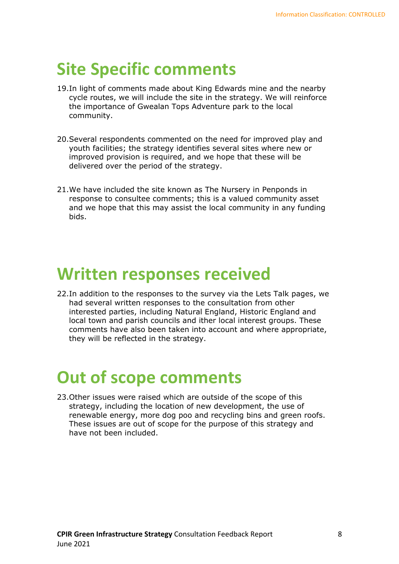### <span id="page-7-0"></span>**Site Specific comments**

- 19.In light of comments made about King Edwards mine and the nearby cycle routes, we will include the site in the strategy. We will reinforce the importance of Gwealan Tops Adventure park to the local community.
- 20.Several respondents commented on the need for improved play and youth facilities; the strategy identifies several sites where new or improved provision is required, and we hope that these will be delivered over the period of the strategy.
- 21.We have included the site known as The Nursery in Penponds in response to consultee comments; this is a valued community asset and we hope that this may assist the local community in any funding bids.

#### <span id="page-7-1"></span>**Written responses received**

22.In addition to the responses to the survey via the Lets Talk pages, we had several written responses to the consultation from other interested parties, including Natural England, Historic England and local town and parish councils and ither local interest groups. These comments have also been taken into account and where appropriate, they will be reflected in the strategy.

### <span id="page-7-2"></span>**Out of scope comments**

23.Other issues were raised which are outside of the scope of this strategy, including the location of new development, the use of renewable energy, more dog poo and recycling bins and green roofs. These issues are out of scope for the purpose of this strategy and have not been included.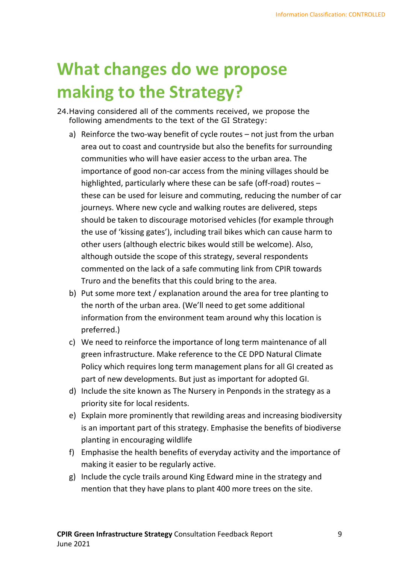### <span id="page-8-0"></span>**What changes do we propose making to the Strategy?**

- 24.Having considered all of the comments received, we propose the following amendments to the text of the GI Strategy:
	- a) Reinforce the two-way benefit of cycle routes not just from the urban area out to coast and countryside but also the benefits for surrounding communities who will have easier access to the urban area. The importance of good non-car access from the mining villages should be highlighted, particularly where these can be safe (off-road) routes – these can be used for leisure and commuting, reducing the number of car journeys. Where new cycle and walking routes are delivered, steps should be taken to discourage motorised vehicles (for example through the use of 'kissing gates'), including trail bikes which can cause harm to other users (although electric bikes would still be welcome). Also, although outside the scope of this strategy, several respondents commented on the lack of a safe commuting link from CPIR towards Truro and the benefits that this could bring to the area.
	- b) Put some more text / explanation around the area for tree planting to the north of the urban area. (We'll need to get some additional information from the environment team around why this location is preferred.)
	- c) We need to reinforce the importance of long term maintenance of all green infrastructure. Make reference to the CE DPD Natural Climate Policy which requires long term management plans for all GI created as part of new developments. But just as important for adopted GI.
	- d) Include the site known as The Nursery in Penponds in the strategy as a priority site for local residents.
	- e) Explain more prominently that rewilding areas and increasing biodiversity is an important part of this strategy. Emphasise the benefits of biodiverse planting in encouraging wildlife
	- f) Emphasise the health benefits of everyday activity and the importance of making it easier to be regularly active.
	- g) Include the cycle trails around King Edward mine in the strategy and mention that they have plans to plant 400 more trees on the site.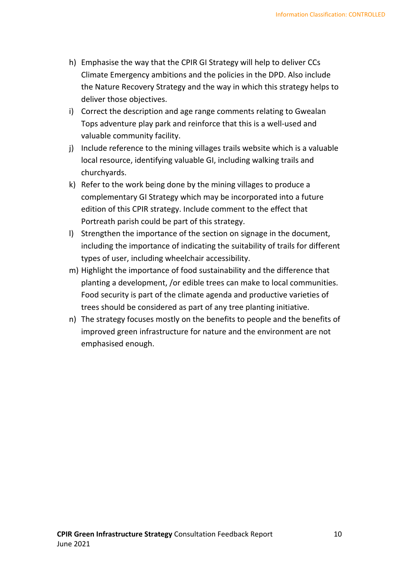- h) Emphasise the way that the CPIR GI Strategy will help to deliver CCs Climate Emergency ambitions and the policies in the DPD. Also include the Nature Recovery Strategy and the way in which this strategy helps to deliver those objectives.
- i) Correct the description and age range comments relating to Gwealan Tops adventure play park and reinforce that this is a well-used and valuable community facility.
- j) Include reference to the mining villages trails website which is a valuable local resource, identifying valuable GI, including walking trails and churchyards.
- k) Refer to the work being done by the mining villages to produce a complementary GI Strategy which may be incorporated into a future edition of this CPIR strategy. Include comment to the effect that Portreath parish could be part of this strategy.
- l) Strengthen the importance of the section on signage in the document, including the importance of indicating the suitability of trails for different types of user, including wheelchair accessibility.
- m) Highlight the importance of food sustainability and the difference that planting a development, /or edible trees can make to local communities. Food security is part of the climate agenda and productive varieties of trees should be considered as part of any tree planting initiative.
- n) The strategy focuses mostly on the benefits to people and the benefits of improved green infrastructure for nature and the environment are not emphasised enough.